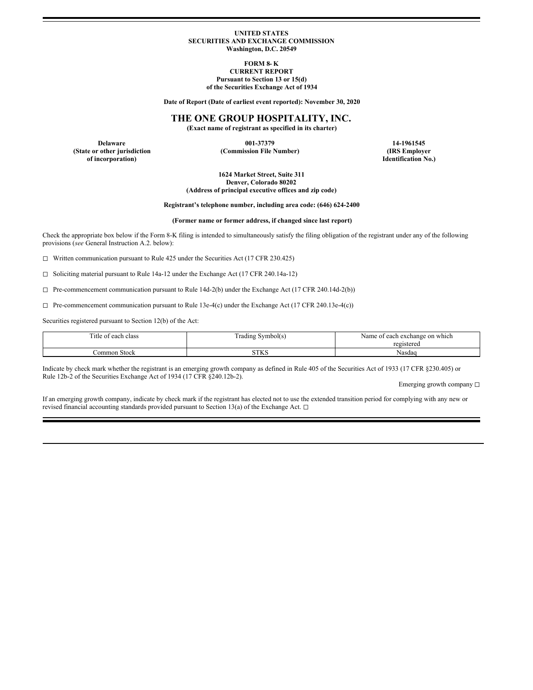### **UNITED STATES SECURITIES AND EXCHANGE COMMISSION Washington, D.C. 20549**

**FORM 8- K CURRENT REPORT Pursuant to Section 13 or 15(d) of the Securities Exchange Act of 1934**

**Date of Report (Date of earliest event reported): November 30, 2020**

# **THE ONE GROUP HOSPITALITY, INC.**

**(Exact name of registrant as specified in its charter)**

**Delaware 001-37379 14-1961545 of incorporation) Identification No.)**

**(State or other jurisdiction (Commission File Number) (IRS Employer**

**1624 Market Street, Suite 311 Denver, Colorado 80202 (Address of principal executive offices and zip code)**

**Registrant's telephone number, including area code: (646) 624-2400**

**(Former name or former address, if changed since last report)**

Check the appropriate box below if the Form 8-K filing is intended to simultaneously satisfy the filing obligation of the registrant under any of the following provisions (*see* General Instruction A.2. below):

◻ Written communication pursuant to Rule 425 under the Securities Act (17 CFR 230.425)

◻ Soliciting material pursuant to Rule 14a-12 under the Exchange Act (17 CFR 240.14a-12)

 $\Box$  Pre-commencement communication pursuant to Rule 14d-2(b) under the Exchange Act (17 CFR 240.14d-2(b))

 $\Box$  Pre-commencement communication pursuant to Rule 13e-4(c) under the Exchange Act (17 CFR 240.13e-4(c))

Securities registered pursuant to Section 12(b) of the Act:

| $m$ .<br>itle of<br>each class | Symbol(s)<br>i rading<br>__ | on which<br>Name<br>i exchange<br>each<br>: ot |
|--------------------------------|-----------------------------|------------------------------------------------|
|                                |                             | registereo                                     |
| ∴ommon Stock                   | CTTIC<br>3 I N              | Nasdac                                         |

Indicate by check mark whether the registrant is an emerging growth company as defined in Rule 405 of the Securities Act of 1933 (17 CFR §230.405) or Rule 12b-2 of the Securities Exchange Act of 1934 (17 CFR §240.12b-2).

Emerging growth company □

If an emerging growth company, indicate by check mark if the registrant has elected not to use the extended transition period for complying with any new or revised financial accounting standards provided pursuant to Section 13(a) of the Exchange Act. □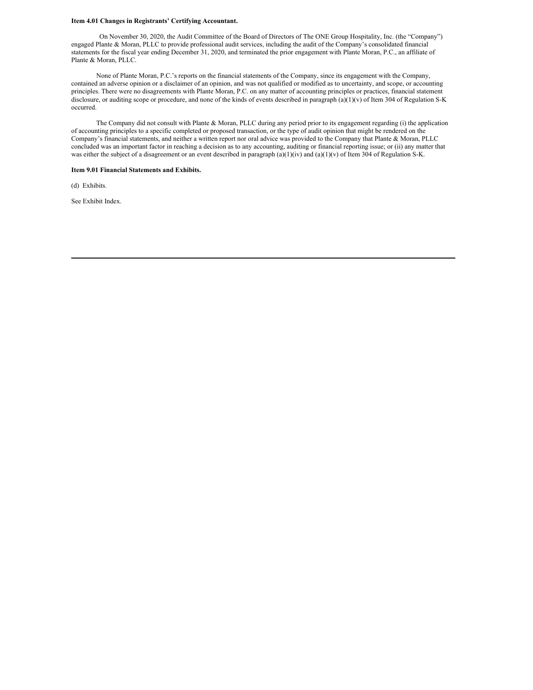### **Item 4.01 Changes in Registrants' Certifying Accountant.**

On November 30, 2020, the Audit Committee of the Board of Directors of The ONE Group Hospitality, Inc. (the "Company") engaged Plante & Moran, PLLC to provide professional audit services, including the audit of the Company's consolidated financial statements for the fiscal year ending December 31, 2020, and terminated the prior engagement with Plante Moran, P.C., an affiliate of Plante & Moran, PLLC.

None of Plante Moran, P.C.'s reports on the financial statements of the Company, since its engagement with the Company, contained an adverse opinion or a disclaimer of an opinion, and was not qualified or modified as to uncertainty, and scope, or accounting principles. There were no disagreements with Plante Moran, P.C. on any matter of accounting principles or practices, financial statement disclosure, or auditing scope or procedure, and none of the kinds of events described in paragraph (a)(1)(v) of Item 304 of Regulation S-K occurred.

The Company did not consult with Plante & Moran, PLLC during any period prior to its engagement regarding (i) the application of accounting principles to a specific completed or proposed transaction, or the type of audit opinion that might be rendered on the Company's financial statements, and neither a written report nor oral advice was provided to the Company that Plante & Moran, PLLC concluded was an important factor in reaching a decision as to any accounting, auditing or financial reporting issue; or (ii) any matter that was either the subject of a disagreement or an event described in paragraph  $(a)(1)(iv)$  and  $(a)(1)(v)$  of Item 304 of Regulation S-K.

### **Item 9.01 Financial Statements and Exhibits.**

(d) Exhibits.

See Exhibit Index.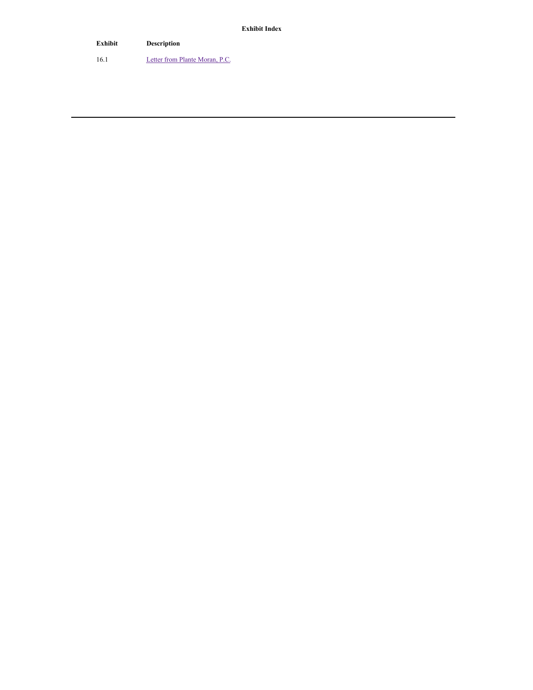**Exhibit Index**

**Exhibit Description** 16.1 **Letter from Plante [Moran,](#page-4-0) P.C.**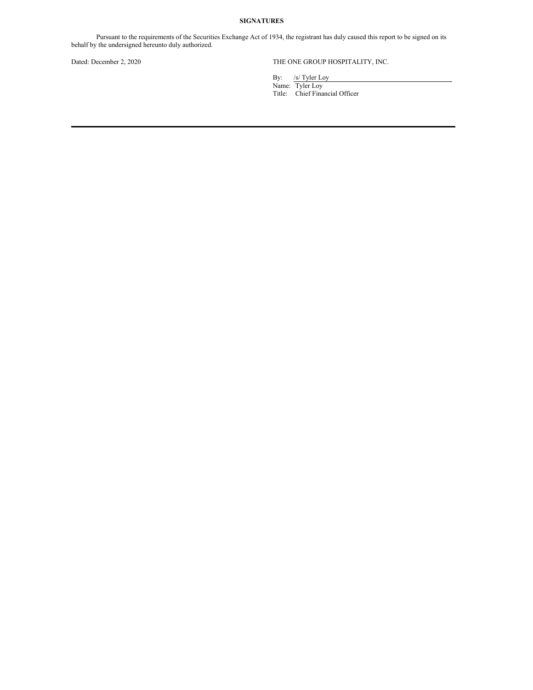## **SIGNATURES**

Pursuant to the requirements of the Securities Exchange Act of 1934, the registrant has duly caused this report to be signed on its behalf by the undersigned hereunto duly authorized.

## Dated: December 2, 2020 THE ONE GROUP HOSPITALITY, INC.

By: /s/ Tyler Loy

Name: Tyler Loy Title: Chief Financial Officer